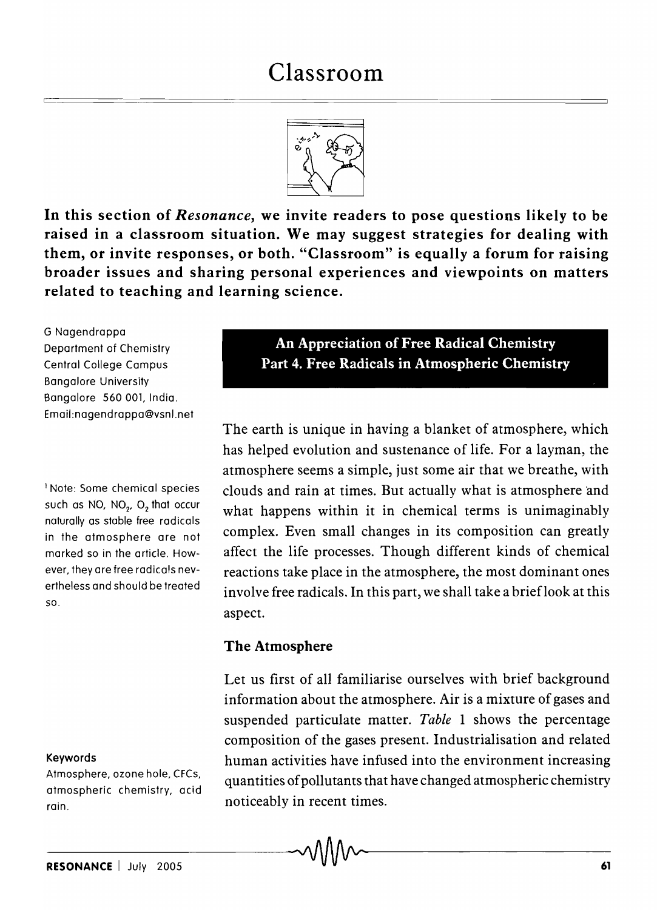

In this section of *Resonance,* we invite readers to pose questions likely to be raised in a classroom situation. We may suggest strategies for dealing with them, or invite responses, or both. "Classroom" is equally a forum for raising broader issues and sharing personal experiences and viewpoints on matters related to teaching and learning science.

G Nagendrappa Department of Chemistry Central College Campus Bangalore University Bangalore 560 001, India. Email:nagendrappa@vsnl.net

=

1 Note: Some chemical species such as NO, NO $_{\rm 2^{\prime}}$  O $_{\rm 2}$  that occur naturally as stable free radicals in the atmosphere are not marked so in the article. However, they are free radicals nevertheless and should be treated so.

#### Keywords

Atmosphere, ozone hole, CFCs, atmospheric chemistry, acid rain.

An Appreciation of Free Radical Chemistry Part 4. Free Radicals in Atmospheric Chemistry

The earth is unique in having a blanket of atmosphere, which has helped evolution and sustenance of life. For a layman, the atmosphere seems a simple, just some air that we breathe, with clouds and rain at times. But actually what is atmosphere 'and what happens within it in chemical terms is unimaginably complex. Even small changes in its composition can greatly affect the life processes. Though different kinds of chemical reactions take place in the atmosphere, the most dominant ones involve free radicals. In this part, we shall take a brieflook at this aspect.

### The Atmosphere

Let us first of all familiarise ourselves with brief background information about the atmosphere. Air is a mixture of gases and suspended particulate matter. *Table* 1 shows the percentage composition of the gases present. Industrialisation and related human activities have infused into the environment increasing quantities of pollutants that have changed atmospheric chemistry noticeably in recent times.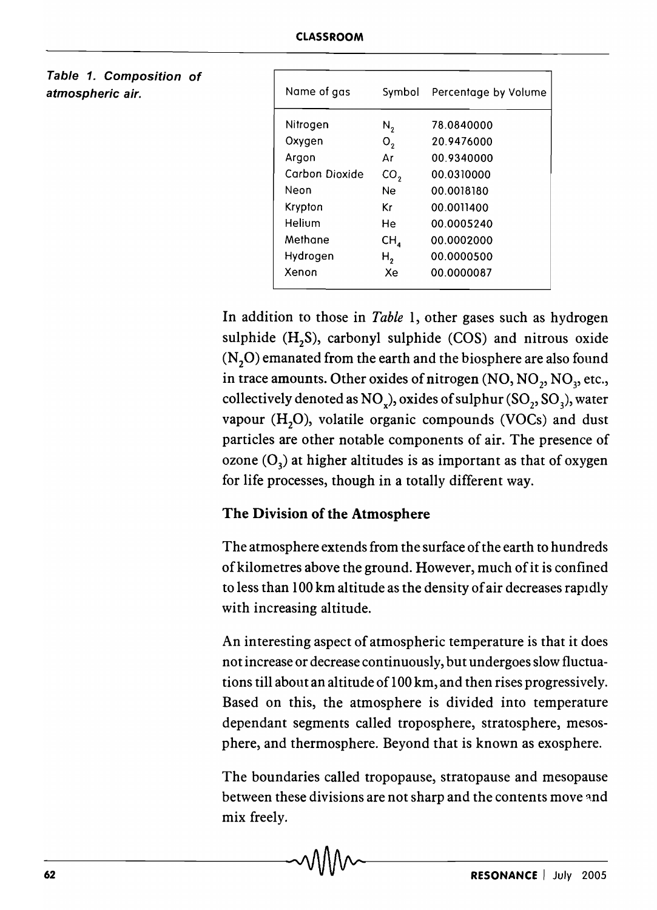| Name of gas    | Symbol          | Percentage by Volume |
|----------------|-----------------|----------------------|
| Nitrogen       | N,              | 78.0840000           |
| Oxygen         | ο,              | 20.9476000           |
| Argon          | Αr              | 00.9340000           |
| Carbon Dioxide | CO <sub>2</sub> | 00.0310000           |
| Neon           | Ne.             | 00.0018180           |
| Krypton        | Κr              | 00.0011400           |
| Helium         | He              | 00.0005240           |
| Methane        | $CH_a$          | 00.0002000           |
| Hydrogen       | н,              | 00.0000500           |
| Xenon          | Хe              | 00.0000087           |

### Table 1. Composition of atmospheric air.

In addition to those in *Table* 1, other gases such as hydrogen sulphide  $(H_2S)$ , carbonyl sulphide  $(COS)$  and nitrous oxide  $(N, O)$  emanated from the earth and the biosphere are also found in trace amounts. Other oxides of nitrogen  $\mathrm{(NO, NO}_2, \mathrm{NO}_3, \mathrm{etc.},$ collectively denoted as NO<sub>v</sub>), oxides of sulphur  $(SO_2, SO_3)$ , water vapour  $(H, O)$ , volatile organic compounds (VOCs) and dust particles are other notable components of air. The presence of ozone  $(O<sub>3</sub>)$  at higher altitudes is as important as that of oxygen for life processes, though in a totally different way.

## The Division of the Atmosphere

The atmosphere extends from the surface of the earth to hundreds of kilometres above the ground. However, much of it is confined to less than 100 km altitude as the density of air decreases rapidly with increasing altitude.

An interesting aspect of atmospheric temperature is that it does not increase or decrease continuously, but undergoes slow fluctuations till about an altitude of 100 km, and then rises progressively. Based on this, the atmosphere is divided into temperature dependant segments called troposphere, stratosphere, mesosphere, and thermosphere. Beyond that is known as exosphere.

The boundaries called tropopause, stratopause and mesopause between these divisions are not sharp and the contents move and mix freely.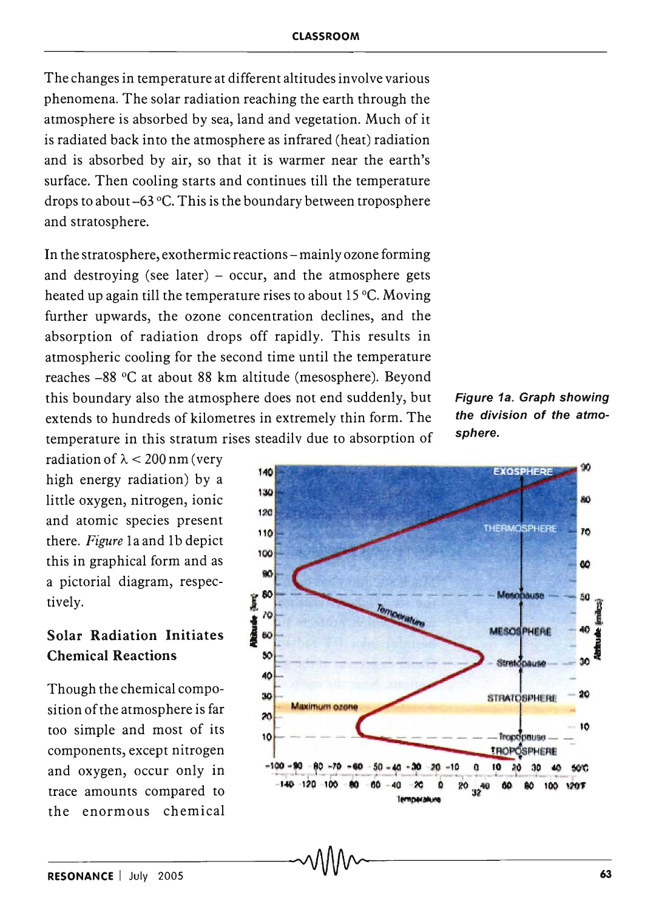The changes in temperature at different altitudes involve various phenomena. The solar radiation reaching the earth through the atmosphere is absorbed by sea, land and vegetation. Much of it is radiated back into the atmosphere as infrared (heat) radiation and is absorbed by air, so that it is warmer near the earth's surface. Then cooling starts and continues till the temperature drops to about -63 °C. This is the boundary between troposphere and stratosphere.

In the stratosphere, exothermic reactions – mainly ozone forming and destroying (see later)  $-$  occur, and the atmosphere gets heated up again till the temperature rises to about  $15^{\circ}$ C. Moving further upwards, the ozone concentration declines, and the absorption of radiation drops off rapidly. This results in atmospheric cooling for the second time until the temperature reaches -88°C at about 88 km altitude (mesosphere). Beyond this boundary also the atmosphere does not end suddenly, but extends to hundreds of kilometres in extremely thin form. The temperature in this stratum rises steadily due to absorption of

radiation of  $\lambda$  < 200 nm (very high energy radiation) by a little oxygen, nitrogen, ionic and atomic species present there. *Figure* 1a and 1b depict this in graphical form and as a pictorial diagram, respectively.

# Solar Radiation Initiates Chemical Reactions

Though the chemical composition of the atmosphere is far too simple and most of its components, except nitrogen and oxygen, occur only in trace amounts compared to the enormous chemical



Figure 1a. Graph showing the division of the atmosphere.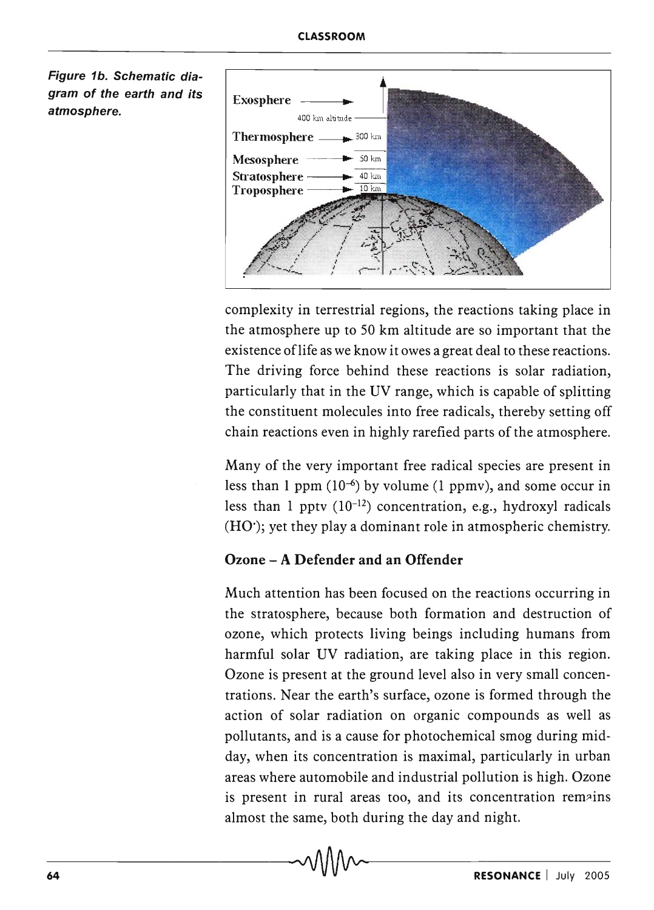Figure 1b. Schematic diagram of the earth and its atmosphere.



complexity in terrestrial regions, the reactions taking place in the atmosphere up to 50 km altitude are so important that the existence oflife as we know it owes a great deal to these reactions. The driving force behind these reactions is solar radiation, particularly that in the UV range, which is capable of splitting the constituent molecules into free radicals, thereby setting off chain reactions even in highly rarefied parts of the atmosphere.

Many of the very important free radical species are present in less than 1 ppm  $(10^{-6})$  by volume (1 ppmv), and some occur in less than 1 ppty  $(10^{-12})$  concentration, e.g., hydroxyl radicals  $(HO')$ ; yet they play a dominant role in atmospheric chemistry.

## Ozone - A Defender and an Offender

Much attention has been focused on the reactions occurring in the stratosphere, because both formation and destruction of ozone, which protects living beings including humans from harmful solar UV radiation, are taking place in this region. Ozone is present at the ground level also in very small concentrations. Near the earth's surface, ozone is formed through the action of solar radiation on organic compounds as well as pollutants, and is a cause for photochemical smog during midday, when its concentration is maximal, particularly in urban areas where automobile and industrial pollution is high. Ozone is present in rural areas too, and its concentration remains almost the same, both during the day and night.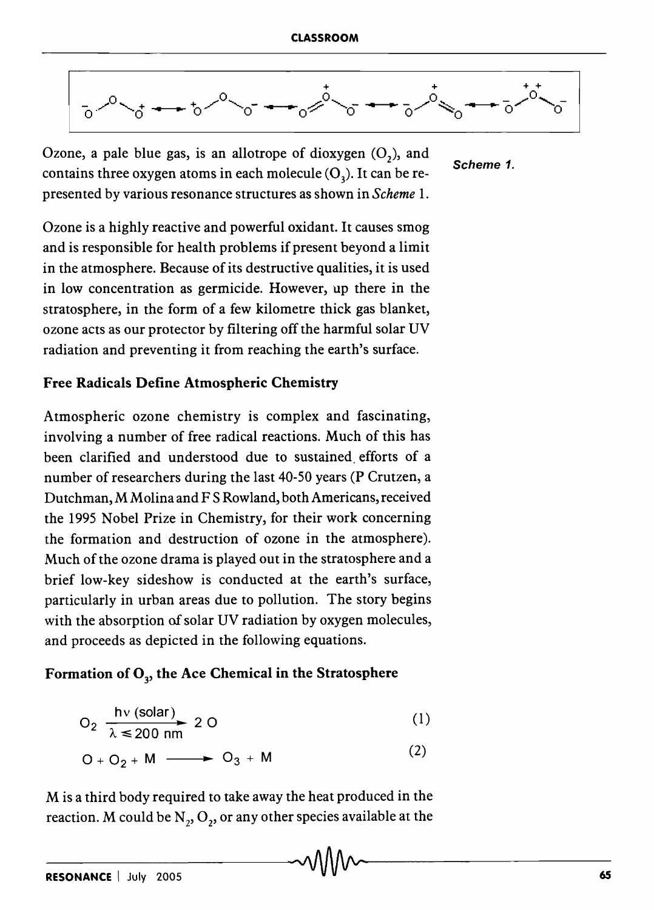

Scheme 1.

Ozone, a pale blue gas, is an allotrope of dioxygen  $(O_2)$ , and contains three oxygen atoms in each molecule  $(O_2)$ . It can be represen ted by various resonance structures as shown in *Scheme 1.* 

Ozone is a highly reactive and powerful oxidant. It causes smog and is responsible for health problems if present beyond a limit in the atmosphere. Because of its destructive qualities, it is used in low concentration as germicide. However, up there in the stratosphere, in the form of a few kilometre thick gas blanket, ozone acts as our protector by filtering off the harmful solar UV radiation and preventing it from reaching the earth's surface.

### Free Radicals Define Atmospheric Chemistry

Atmospheric ozone chemistry is complex and fascinating, involving a number of free radical reactions. Much of this has been clarified and understood due to sustained, efforts of a number of researchers during the last 40-50 years (P Crutzen, a Dutchman, M Molina and F S Rowland, both Americans, received the 1995 Nobel Prize in Chemistry, for their work concerning the formation and destruction of ozone in the atmosphere). Much of the ozone drama is played out in the stratosphere and a brief low-key sideshow is conducted at the earth's surface, particularly in urban areas due to pollution. The story begins with the absorption of solar UV radiation by oxygen molecules, and proceeds as depicted in the following equations.

## Formation of  $O<sub>3</sub>$ , the Ace Chemical in the Stratosphere

$$
O_2 \xrightarrow[\lambda \le 200 \text{ nm}]{} 2 \text{ O} \tag{1}
$$

$$
O + O_2 + M \longrightarrow O_3 + M \tag{2}
$$

M is a third body required to take away the heat produced in the reaction. M could be  $N_2$ ,  $O_2$ , or any other species available at the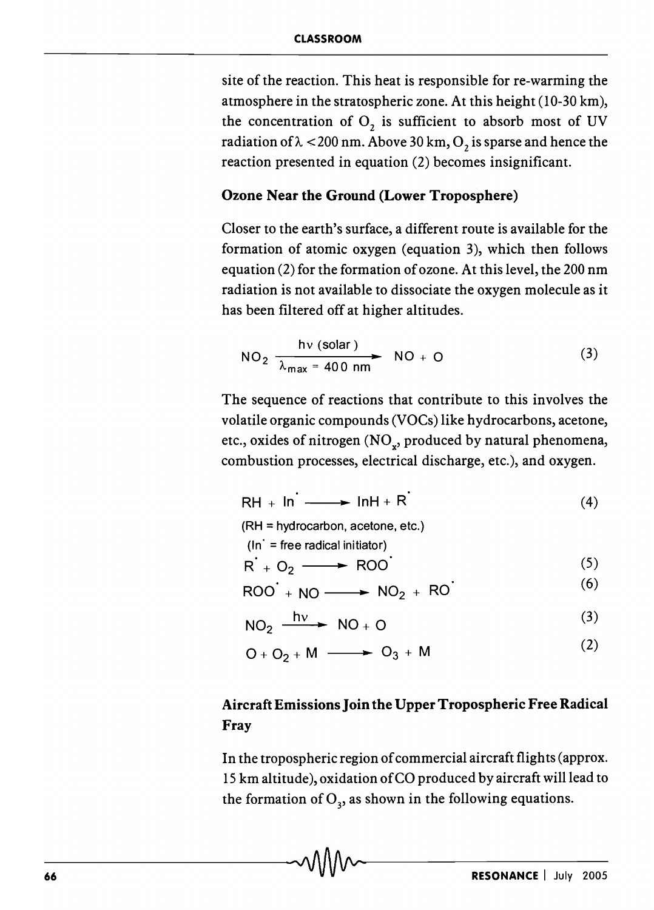site of the reaction. This heat is responsible for re-warming the atmosphere in the stratospheric zone. At this height (10-30 km), the concentration of  $O_2$  is sufficient to absorb most of UV radiation of  $\lambda$  < 200 nm. Above 30 km,  $O_2$  is sparse and hence the reaction presented in equation (2) becomes insignificant.

## Ozone Near the Ground (Lower Troposphere)

Closer to the earth's surface, a different route is available for the formation of atomic oxygen (equation 3), which then follows equation (2) for the formation of ozone. At this level, the 200 nm radiation is not available to dissociate the oxygen molecule as it has been filtered off at higher altitudes.

NO<sub>2</sub> 
$$
\frac{hv \text{ (solar)}}{\lambda_{max} = 400 \text{ nm}}
$$
 NO + O (3)

The sequence of reactions that contribute to this involves the volatile organic compounds (VOCs) like hydrocarbons, acetone, etc., oxides of nitrogen ( $\mathrm{NO_x}$ , produced by natural phenomena, combustion processes, electrical discharge, etc.), and oxygen.

$$
RH + In \longrightarrow InH + R'
$$
 (4)

(RH = hydrocarbon, acetone, etc.) (In' = free radical initiator)

$$
R + O_2 \longrightarrow \text{ROO} \tag{5}
$$

$$
R + O2 \longrightarrow ROO
$$
 (5)  
ROO + NO → NO<sub>2</sub> + RO' (6)

$$
NO_2 \xrightarrow{hv} NO + O
$$
 (3)

(2)  $Q + Q_2 + M \longrightarrow Q_3 + M$ 

# Aircraft Emissions Join the Upper Tropospheric Free Radical Fray

In the tropospheric region of commercial aircraft flights (approx. IS km altitude), oxidation of CO produced by aircraft will lead to the formation of  $O_3$ , as shown in the following equations.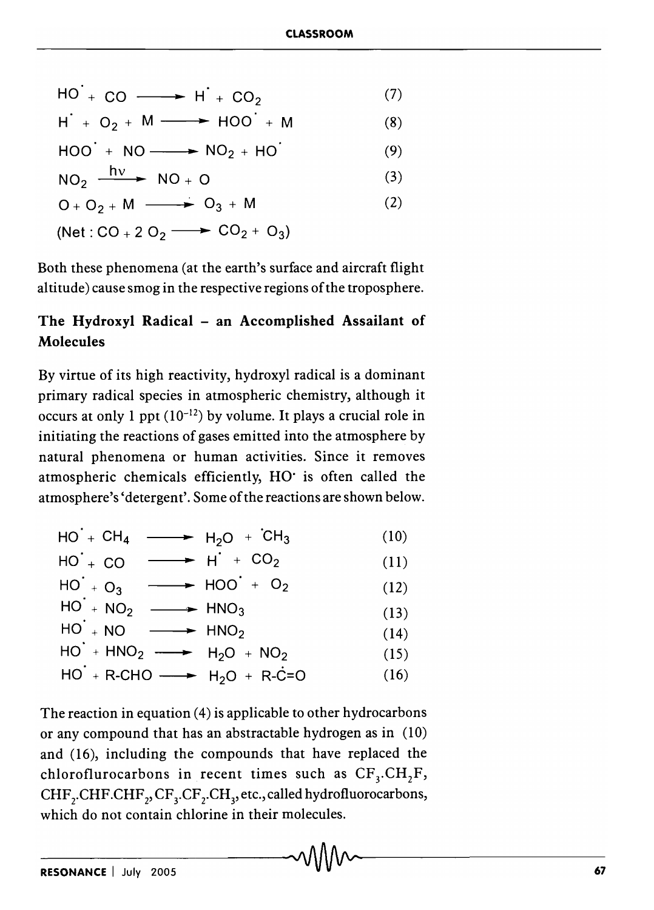| $HO + CO \longrightarrow H + CO2$ |  |
|-----------------------------------|--|
|-----------------------------------|--|

$$
H + O_2 + M \longrightarrow HOO + M \tag{8}
$$

$$
HOO^{+} + NO \longrightarrow NO_{2} + HO^{+}
$$
 (9)

$$
NO_2 \xrightarrow{hv} NO + O \tag{3}
$$

$$
O + O2 + M \longrightarrow O3 + M
$$
\n
$$
(2)
$$
\n
$$
(Net: CO + 2 O2 \longrightarrow CO2 + O3)
$$

Both these phenomena (at the earth's surface and aircraft flight altitude) cause smog in the respective regions of the troposphere.

# The Hydroxyl Radical - an Accomplished Assailant of Molecules

By virtue of its high reactivity, hydroxyl radical is a dominant primary radical species in atmospheric chemistry, although it occurs at only 1 ppt  $(10^{-12})$  by volume. It plays a crucial role in initiating the reactions of gases emitted into the atmosphere by natural phenomena or human activities. Since it removes atmospheric chemicals efficiently, HO' is often called the atmosphere's 'detergent'. Some of the reactions are shown below.

$$
HO + CH_4 \longrightarrow H_2O + CH_3 \qquad (10)
$$

$$
HO^{+} + CO \longrightarrow H^{+} + CO_{2} \tag{11}
$$

$$
HO + O_3 \longrightarrow HOO + O_2 \qquad (12)
$$

$$
HO + NO_2 \longrightarrow HNO_3 \tag{13}
$$

$$
HO + NO \longrightarrow HNO_2 \qquad (14)
$$

$$
HO^{\dagger} + HNO_2 \longrightarrow H_2O + NO_2 \tag{15}
$$

$$
HO^{\prime} + R\text{-CHO} \longrightarrow H_2O + R\text{-C=O} \qquad (16)
$$

The reaction in equation (4) is applicable to other hydrocarbons or any compound that has an abstractable hydrogen as in (10) and (16), including the compounds that have replaced the chloroflurocarbons in recent times such as  $CF_3.CH,F$ , CHF<sub>2</sub>.CHF.CHF<sub>3</sub>,CF<sub>3</sub>.CF<sub>2</sub>.CH<sub>3</sub>, etc., called hydrofluorocarbons, which do not contain chlorine in their molecules.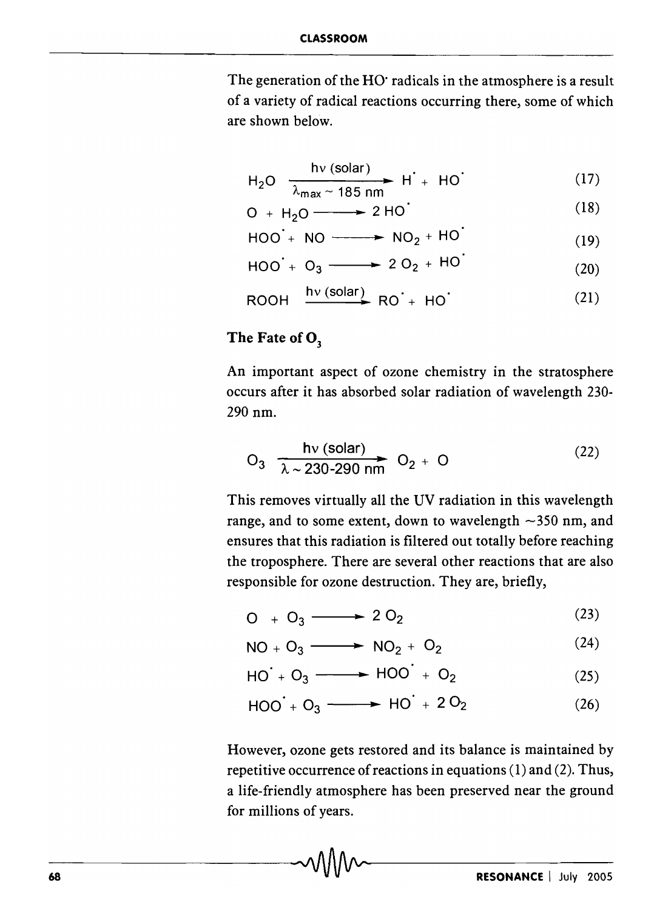The generation of the HO' radicals in the atmosphere is a result of a variety of radical reactions occurring there, some of which are shown below.

$$
H_2O \xrightarrow[\lambda_{max} \sim 185 \text{ nm}]{} H^{\prime} + HO^{\prime} \tag{17}
$$

$$
D + H2O \longrightarrow 2 HO
$$
 (18)

$$
HOO + NO \longrightarrow NO_2 + HO
$$
 (19)

$$
HOO + O_3 \longrightarrow 2O_2 + HO
$$
 (20)

$$
ROOH \xrightarrow{hv (solar)} RO^{+} HO^{+}
$$
 (21)

# The Fate of O<sub>3</sub>

An important aspect of ozone chemistry in the stratosphere occurs after it has absorbed solar radiation of wavelength 230- 290 nm.

$$
O_3 \xrightarrow[\lambda \sim 230-290 \text{ nm}]{hv (solar)} O_2 + O
$$
 (22)

This removes virtually all the UV radiation in this wavelength range, and to some extent, down to wavelength  $\sim$ 350 nm, and ensures that this radiation is filtered out totally before reaching the troposphere. There are several other reactions that are also responsible for ozone destruction. They are, briefly,

$$
O_+ O_3 \longrightarrow 2 O_2 \tag{23}
$$

$$
NO + O_3 \longrightarrow NO_2 + O_2 \tag{24}
$$

$$
AO + O_3 \longrightarrow HOO + O_2 \tag{25}
$$

$$
HOO + O_3 \longrightarrow HO + 2O_2 \qquad (26)
$$

However, ozone gets restored and its balance is maintained by repetitive occurrence of reactions in equations (1) and (2). Thus, a life-friendly atmosphere has been preserved near the ground for millions of years.

 $\sim$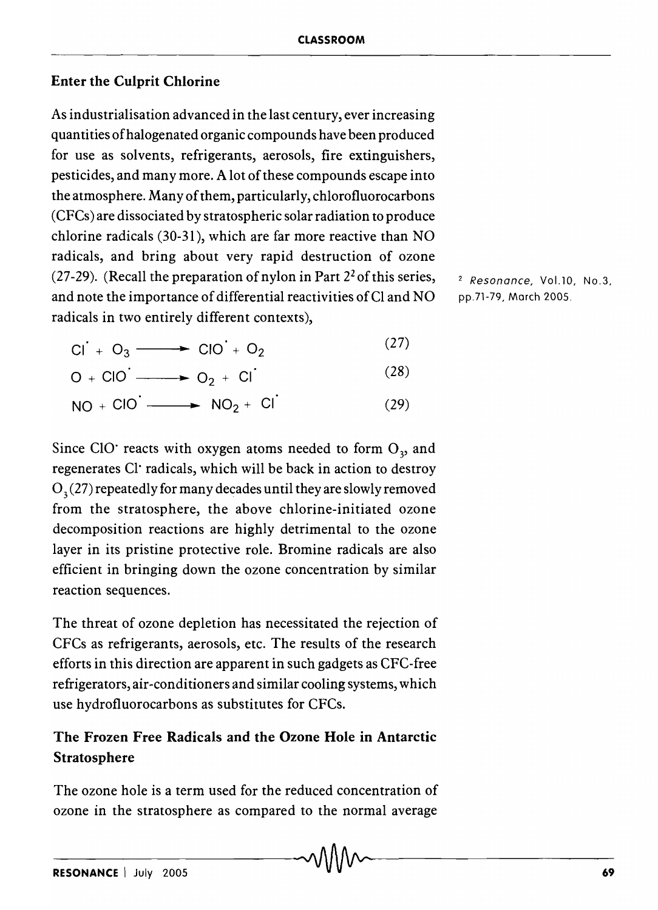## Enter the Culprit Chlorine

As industrialisation advanced in the last century, ever increasing quantities of halogenated organic compounds have been produced for use as solvents, refrigerants, aerosols, fire extinguishers, pesticides, and many more. A lot of these compounds escape into the atmosphere. Many of them, particularly, chlorofluorocarbons (CFCs) are dissociated by stratospheric solar radiation to produce chlorine radicals (30-31), which are far more reactive than NO radicals, and bring about very rapid destruction of ozone (27-29). (Recall the preparation of nylon in Part  $2<sup>2</sup>$  of this series, and note the importance of differential reactivities ofCl and NO radicals in two entirely different contexts),

<sup>2</sup> Resonance, Vol.10, No.3, pp.7l-79, March 2005.

$$
CI + O_3 \longrightarrow CO + O_2 \tag{27}
$$

$$
O + CIO \longrightarrow O_2 + CI
$$
 (28)

 $NO + ClO \longrightarrow NO_2 + Cl$ (29)

Since CIO' reacts with oxygen atoms needed to form  $O<sub>3</sub>$  and regenerates CI' radicals, which will be back in action to destroy  $O<sub>3</sub>(27)$  repeatedly for many decades until they are slowly removed from the stratosphere, the above chlorine-initiated ozone decomposition reactions are highly detrimental to the ozone layer in its pristine protective role. Bromine radicals are also efficient in bringing down the ozone concentration by similar reaction sequences.

The threat of ozone depletion has necessitated the rejection of CFCs as refrigerants, aerosols, etc. The results of the research efforts in this direction are apparent in such gadgets as CFC-free refrigerators, air-conditioners and similar cooling systems, which use hydrofluorocarbons as substitutes for CFCs.

# The Frozen Free Radicals and the Ozone Hole in Antarctic Stratosphere

The ozone hole is a term used for the reduced concentration of ozone in the stratosphere as compared to the normal average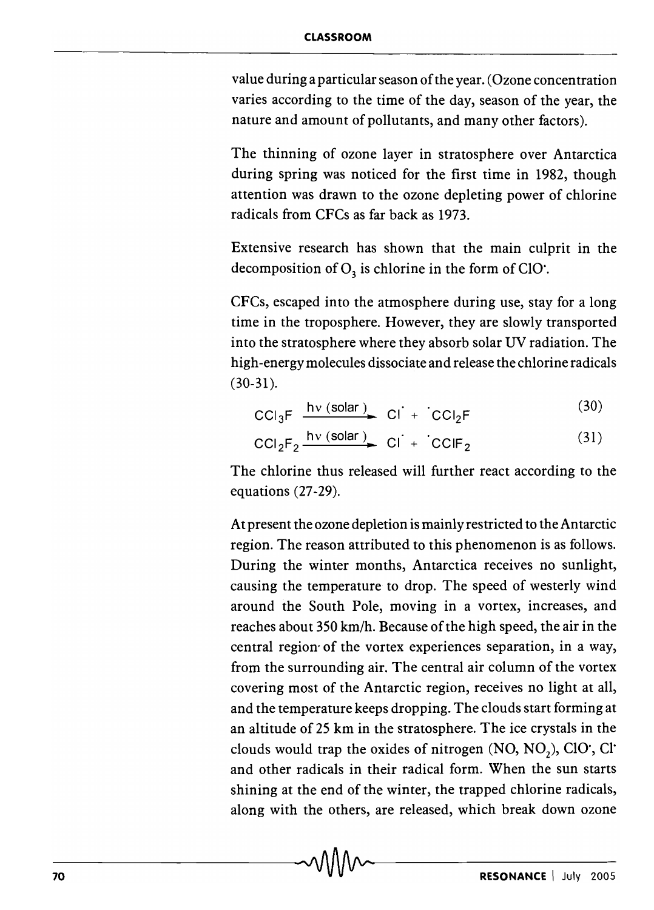value during a particular season of the year. (Ozone concentration varies according to the time of the day, season of the year, the nature and amount of pollutants, and many other factors).

The thinning of ozone layer in stratosphere over Antarctica during spring was noticed for the first time in 1982, though attention was drawn to the ozone depleting power of chlorine radicals from CFCs as far back as 1973.

Extensive research has shown that the main culprit in the decomposition of  $O_3$  is chlorine in the form of ClO.

CFCs, escaped into the atmosphere during use, stay for a long time in the troposphere. However, they are slowly transported into the stratosphere where they absorb solar UV radiation. The high -energy molecules dissociate and release the chlorine radicals (30-31).

$$
CCl_3F \xrightarrow{\text{hv} (\text{solar})} Cl^+ + CCl_2F \tag{30}
$$

$$
CCI2F2 \xrightarrow{hv (solar)} CI + CCIF2
$$
 (31)

The chlorine thus released will further react according to the equations (27-29).

At present the ozone depletion is mainly restricted to the Antarctic region. The reason attributed to this phenomenon is as follows. During the winter months, Antarctica receives no sunlight, causing the temperature to drop. The speed of westerly wind around the South Pole, moving in a vortex, increases, and reaches about 350 km/h. Because of the high speed, the air in the central region' of the vortex experiences separation, in a way, from the surrounding air. The central air column of the vortex covering most of the Antarctic region, receives no light at all, and the temperature keeps dropping. The clouds start forming at an altitude of 25 km in the stratosphere. The ice crystals in the clouds would trap the oxides of nitrogen (NO, NO*z)'* CIO', CI' and other radicals in their radical form. When the sun starts shining at the end of the winter, the trapped chlorine radicals, along with the others, are released, which break down ozone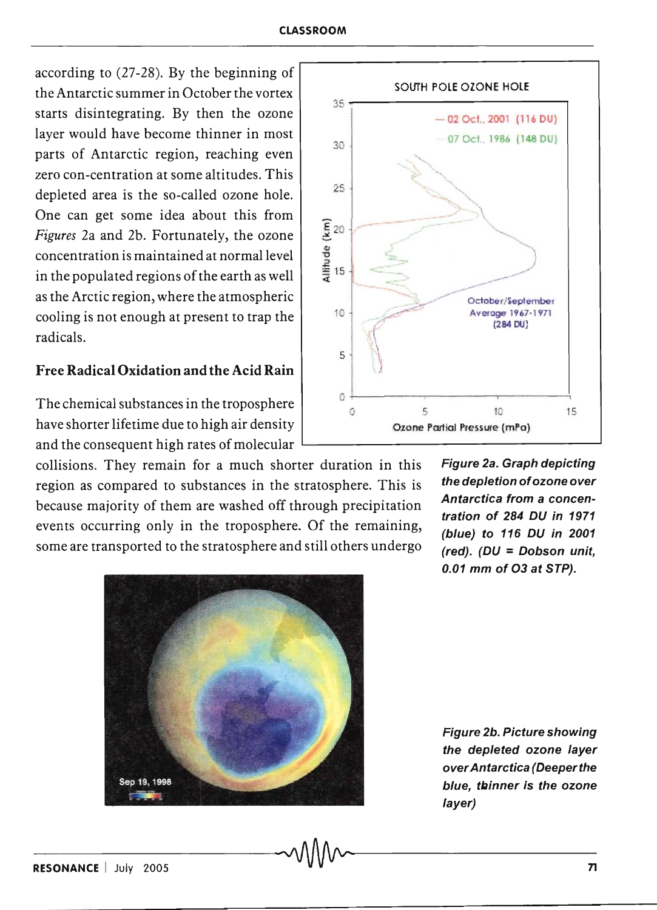according to (27-28). By the beginning of the Antarctic summer in October the vortex starts disintegrating. By then the ozone layer would have become thinner in most parts of Antarctic region, reaching even zero con-centration at some altitudes. This depleted area is the so-called ozone hole. One can get some idea about this from *Figures* 2a and 2b. Fortunately, the ozone concentration is maintained at normal level in the populated regions of the earth as well as the Arctic region, where the atmospheric cooling is not enough at present to trap the radicals.

### Free Radical Oxidation and the Acid Rain

The chemical substances in the troposphere have shorter lifetime due to high air density and the consequent high rates of molecular

collisions. They remain for a much shorter duration in this region as compared to substances in the stratosphere. This is because majority of them are washed off through precipitation events occurring only in the troposphere. Of the remaining, some are transported to the stratosphere and still others undergo



Figure 2a. Graph depicting the depletion of ozone over Antarctica from a concentration of 284 DU in 1971 (blue) to 116 DU in 2001 (red). (DU = Dobson unit, 0.01 mm of 03 at STP).



-RE-S-O-N-A-N-C-E--I-J-UI-Y--20-0-5---------------~~-----------------------------n-

Figure 2b. Picture showing the depleted ozone layer over Antarctica (Deeper the blue, thinner is the ozone layer)